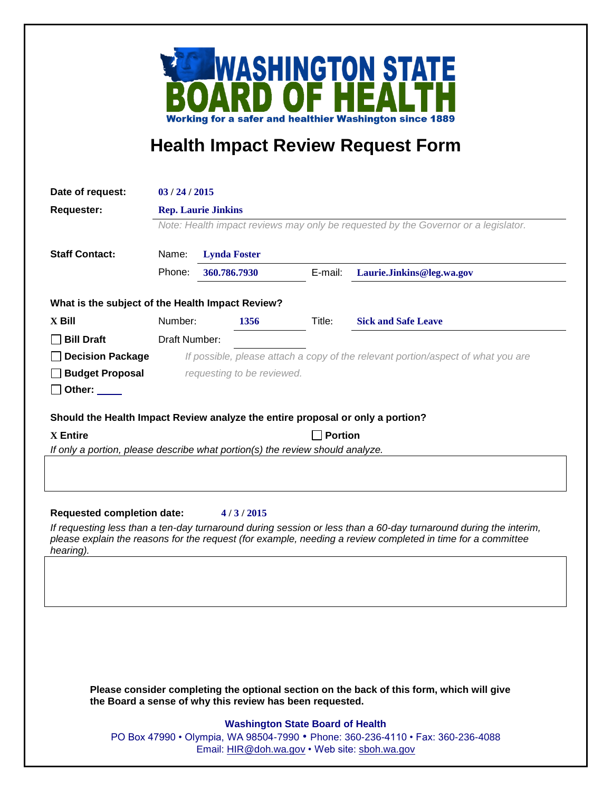

## **Health Impact Review Request Form**

| Date of request:                                                                                                                                                                                                                             | 03/24/2015                                                                         |                     |         |                            |
|----------------------------------------------------------------------------------------------------------------------------------------------------------------------------------------------------------------------------------------------|------------------------------------------------------------------------------------|---------------------|---------|----------------------------|
| Requester:                                                                                                                                                                                                                                   | <b>Rep. Laurie Jinkins</b>                                                         |                     |         |                            |
|                                                                                                                                                                                                                                              | Note: Health impact reviews may only be requested by the Governor or a legislator. |                     |         |                            |
|                                                                                                                                                                                                                                              |                                                                                    |                     |         |                            |
| <b>Staff Contact:</b>                                                                                                                                                                                                                        | Name:                                                                              | <b>Lynda Foster</b> |         |                            |
|                                                                                                                                                                                                                                              | Phone:                                                                             | 360.786.7930        | E-mail: | Laurie.Jinkins@leg.wa.gov  |
| What is the subject of the Health Impact Review?                                                                                                                                                                                             |                                                                                    |                     |         |                            |
| $X$ Bill                                                                                                                                                                                                                                     | Number:                                                                            | 1356                | Title:  | <b>Sick and Safe Leave</b> |
| <b>Bill Draft</b>                                                                                                                                                                                                                            | Draft Number:                                                                      |                     |         |                            |
| <b>Decision Package</b>                                                                                                                                                                                                                      | If possible, please attach a copy of the relevant portion/aspect of what you are   |                     |         |                            |
| <b>Budget Proposal</b>                                                                                                                                                                                                                       | requesting to be reviewed.                                                         |                     |         |                            |
| Other:                                                                                                                                                                                                                                       |                                                                                    |                     |         |                            |
| Should the Health Impact Review analyze the entire proposal or only a portion?                                                                                                                                                               |                                                                                    |                     |         |                            |
| <b>Portion</b><br><b>X</b> Entire                                                                                                                                                                                                            |                                                                                    |                     |         |                            |
| If only a portion, please describe what portion(s) the review should analyze.                                                                                                                                                                |                                                                                    |                     |         |                            |
|                                                                                                                                                                                                                                              |                                                                                    |                     |         |                            |
|                                                                                                                                                                                                                                              |                                                                                    |                     |         |                            |
|                                                                                                                                                                                                                                              |                                                                                    |                     |         |                            |
| <b>Requested completion date:</b><br>4/3/2015                                                                                                                                                                                                |                                                                                    |                     |         |                            |
| If requesting less than a ten-day turnaround during session or less than a 60-day turnaround during the interim,<br>please explain the reasons for the request (for example, needing a review completed in time for a committee<br>hearing). |                                                                                    |                     |         |                            |
|                                                                                                                                                                                                                                              |                                                                                    |                     |         |                            |
|                                                                                                                                                                                                                                              |                                                                                    |                     |         |                            |
|                                                                                                                                                                                                                                              |                                                                                    |                     |         |                            |
|                                                                                                                                                                                                                                              |                                                                                    |                     |         |                            |
|                                                                                                                                                                                                                                              |                                                                                    |                     |         |                            |
|                                                                                                                                                                                                                                              |                                                                                    |                     |         |                            |
|                                                                                                                                                                                                                                              |                                                                                    |                     |         |                            |

**Please consider completing the optional section on the back of this form, which will give the Board a sense of why this review has been requested.**

## **Washington State Board of Health**

PO Box 47990 • Olympia, WA 98504-7990 • Phone: 360-236-4110 • Fax: 360-236-4088 Email: [HIR@doh.wa.gov](mailto:HIR@doh.wa.gov) • Web site: [sboh.wa.gov](http://www.sboh.wa.gov/hdcouncil/)